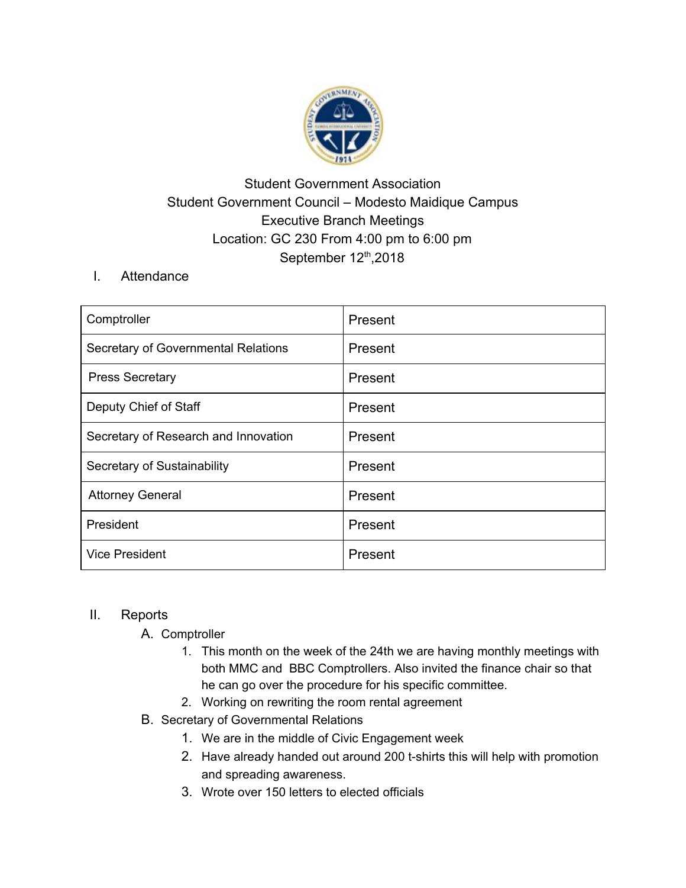

## Student Government Association Student Government Council – Modesto Maidique Campus Executive Branch Meetings Location: GC 230 From 4:00 pm to 6:00 pm September 12<sup>th</sup>, 2018

I. Attendance

| Comptroller                          | Present |
|--------------------------------------|---------|
| Secretary of Governmental Relations  | Present |
| <b>Press Secretary</b>               | Present |
| Deputy Chief of Staff                | Present |
| Secretary of Research and Innovation | Present |
| Secretary of Sustainability          | Present |
| <b>Attorney General</b>              | Present |
| President                            | Present |
| <b>Vice President</b>                | Present |

## II. Reports

- A. Comptroller
	- 1. This month on the week of the 24th we are having monthly meetings with both MMC and BBC Comptrollers. Also invited the finance chair so that he can go over the procedure for his specific committee.
	- 2. Working on rewriting the room rental agreement
- B. Secretary of Governmental Relations
	- 1. We are in the middle of Civic Engagement week
	- 2. Have already handed out around 200 t-shirts this will help with promotion and spreading awareness.
	- 3. Wrote over 150 letters to elected officials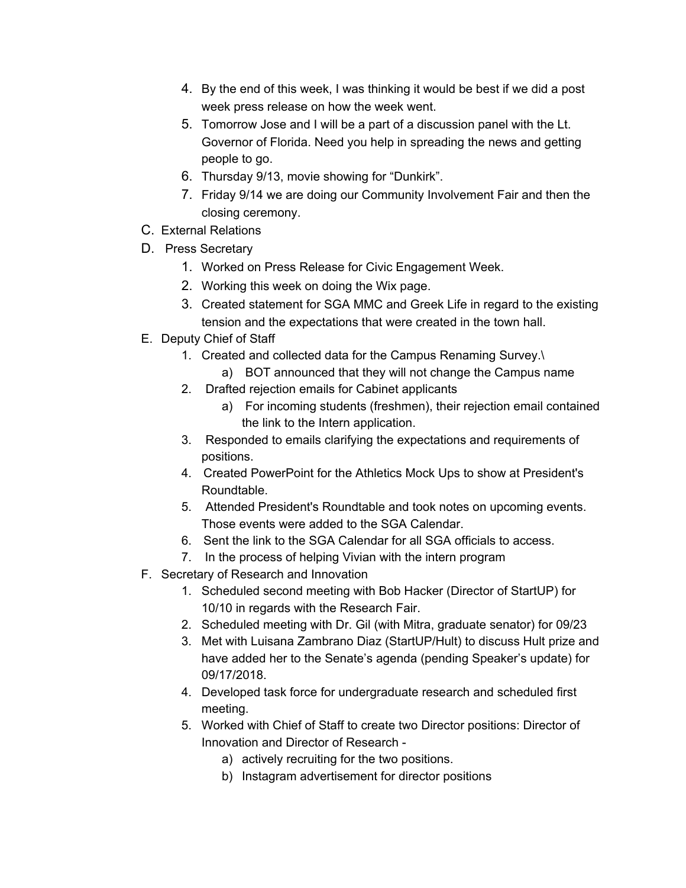- 4. By the end of this week, I was thinking it would be best if we did a post week press release on how the week went.
- 5. Tomorrow Jose and I will be a part of a discussion panel with the Lt. Governor of Florida. Need you help in spreading the news and getting people to go.
- 6. Thursday 9/13, movie showing for "Dunkirk".
- 7. Friday 9/14 we are doing our Community Involvement Fair and then the closing ceremony.
- C. External Relations
- D. Press Secretary
	- 1. Worked on Press Release for Civic Engagement Week.
	- 2. Working this week on doing the Wix page.
	- 3. Created statement for SGA MMC and Greek Life in regard to the existing tension and the expectations that were created in the town hall.
- E. Deputy Chief of Staff
	- 1. Created and collected data for the Campus Renaming Survey.\
		- a) BOT announced that they will not change the Campus name
	- 2. Drafted rejection emails for Cabinet applicants
		- a) For incoming students (freshmen), their rejection email contained the link to the Intern application.
	- 3. Responded to emails clarifying the expectations and requirements of positions.
	- 4. Created PowerPoint for the Athletics Mock Ups to show at President's Roundtable.
	- 5. Attended President's Roundtable and took notes on upcoming events. Those events were added to the SGA Calendar.
	- 6. Sent the link to the SGA Calendar for all SGA officials to access.
	- 7. In the process of helping Vivian with the intern program
- F. Secretary of Research and Innovation
	- 1. Scheduled second meeting with Bob Hacker (Director of StartUP) for 10/10 in regards with the Research Fair.
	- 2. Scheduled meeting with Dr. Gil (with Mitra, graduate senator) for 09/23
	- 3. Met with Luisana Zambrano Diaz (StartUP/Hult) to discuss Hult prize and have added her to the Senate's agenda (pending Speaker's update) for 09/17/2018.
	- 4. Developed task force for undergraduate research and scheduled first meeting.
	- 5. Worked with Chief of Staff to create two Director positions: Director of Innovation and Director of Research
		- a) actively recruiting for the two positions.
		- b) Instagram advertisement for director positions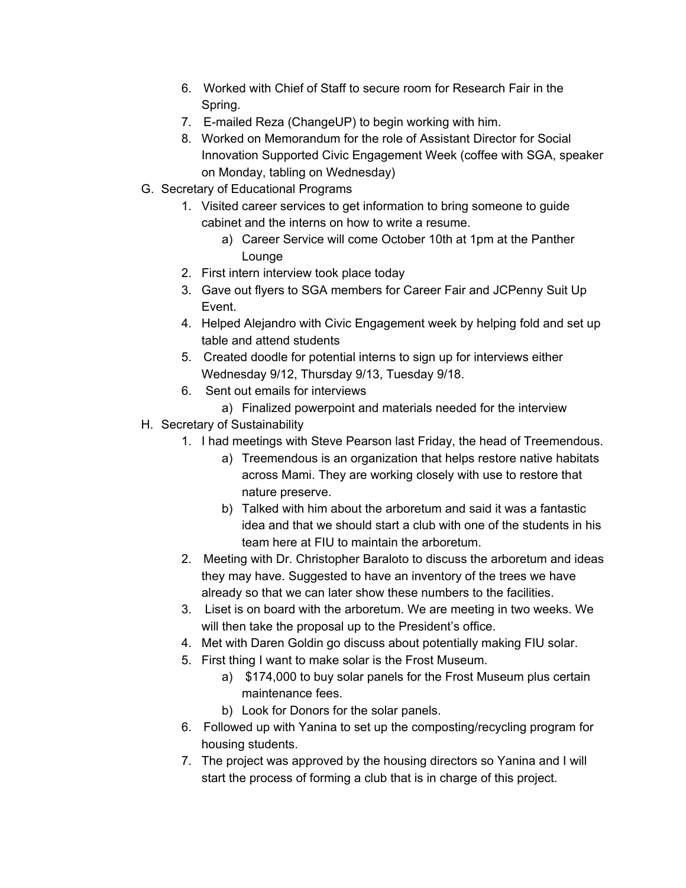- 6. Worked with Chief of Staff to secure room for Research Fair in the Spring.
- 7. E-mailed Reza (ChangeUP) to begin working with him.
- 8. Worked on Memorandum for the role of Assistant Director for Social Innovation Supported Civic Engagement Week (coffee with SGA, speaker on Monday, tabling on Wednesday)
- G. Secretary of Educational Programs
	- 1. Visited career services to get information to bring someone to guide cabinet and the interns on how to write a resume.
		- a) Career Service will come October 10th at 1pm at the Panther Lounge
	- 2. First intern interview took place today
	- 3. Gave out flyers to SGA members for Career Fair and JCPenny Suit Up Event.
	- 4. Helped Alejandro with Civic Engagement week by helping fold and set up table and attend students
	- 5. Created doodle for potential interns to sign up for interviews either Wednesday 9/12, Thursday 9/13, Tuesday 9/18.
	- 6. Sent out emails for interviews
		- a) Finalized powerpoint and materials needed for the interview
- H. Secretary of Sustainability
	- 1. I had meetings with Steve Pearson last Friday, the head of Treemendous.
		- a) Treemendous is an organization that helps restore native habitats across Mami. They are working closely with use to restore that nature preserve.
		- b) Talked with him about the arboretum and said it was a fantastic idea and that we should start a club with one of the students in his team here at FIU to maintain the arboretum.
	- 2. Meeting with Dr. Christopher Baraloto to discuss the arboretum and ideas they may have. Suggested to have an inventory of the trees we have already so that we can later show these numbers to the facilities.
	- 3. Liset is on board with the arboretum. We are meeting in two weeks. We will then take the proposal up to the President's office.
	- 4. Met with Daren Goldin go discuss about potentially making FIU solar.
	- 5. First thing I want to make solar is the Frost Museum.
		- a) \$174,000 to buy solar panels for the Frost Museum plus certain maintenance fees.
		- b) Look for Donors for the solar panels.
	- 6. Followed up with Yanina to set up the composting/recycling program for housing students.
	- 7. The project was approved by the housing directors so Yanina and I will start the process of forming a club that is in charge of this project.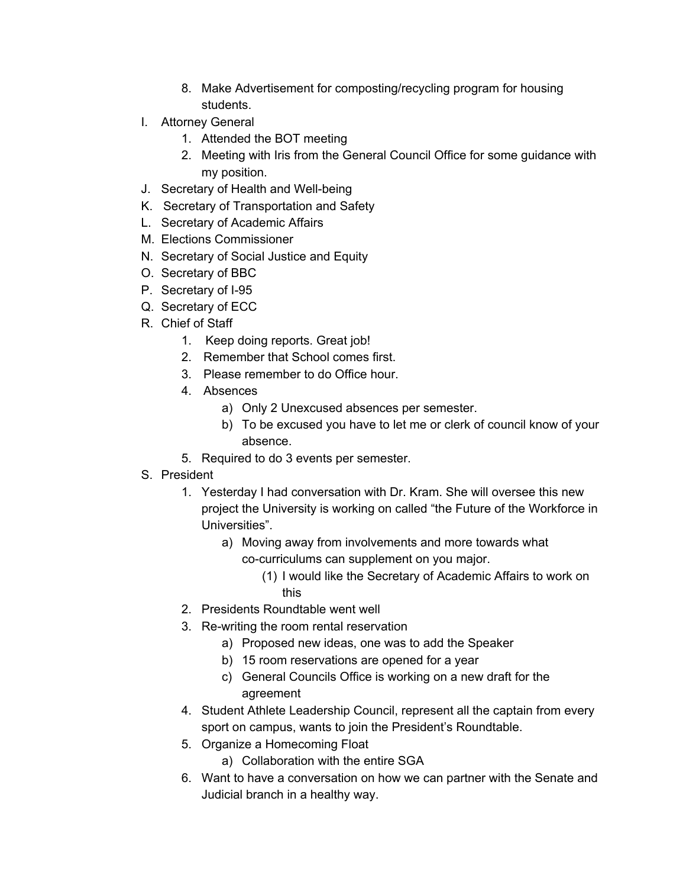- 8. Make Advertisement for composting/recycling program for housing students.
- I. Attorney General
	- 1. Attended the BOT meeting
	- 2. Meeting with Iris from the General Council Office for some guidance with my position.
- J. Secretary of Health and Well-being
- K. Secretary of Transportation and Safety
- L. Secretary of Academic Affairs
- M. Elections Commissioner
- N. Secretary of Social Justice and Equity
- O. Secretary of BBC
- P. Secretary of I-95
- Q. Secretary of ECC
- R. Chief of Staff
	- 1. Keep doing reports. Great job!
	- 2. Remember that School comes first.
	- 3. Please remember to do Office hour.
	- 4. Absences
		- a) Only 2 Unexcused absences per semester.
		- b) To be excused you have to let me or clerk of council know of your absence.
	- 5. Required to do 3 events per semester.
- S. President
	- 1. Yesterday I had conversation with Dr. Kram. She will oversee this new project the University is working on called "the Future of the Workforce in Universities".
		- a) Moving away from involvements and more towards what co-curriculums can supplement on you major.
			- (1) I would like the Secretary of Academic Affairs to work on this
	- 2. Presidents Roundtable went well
	- 3. Re-writing the room rental reservation
		- a) Proposed new ideas, one was to add the Speaker
		- b) 15 room reservations are opened for a year
		- c) General Councils Office is working on a new draft for the agreement
	- 4. Student Athlete Leadership Council, represent all the captain from every sport on campus, wants to join the President's Roundtable.
	- 5. Organize a Homecoming Float
		- a) Collaboration with the entire SGA
	- 6. Want to have a conversation on how we can partner with the Senate and Judicial branch in a healthy way.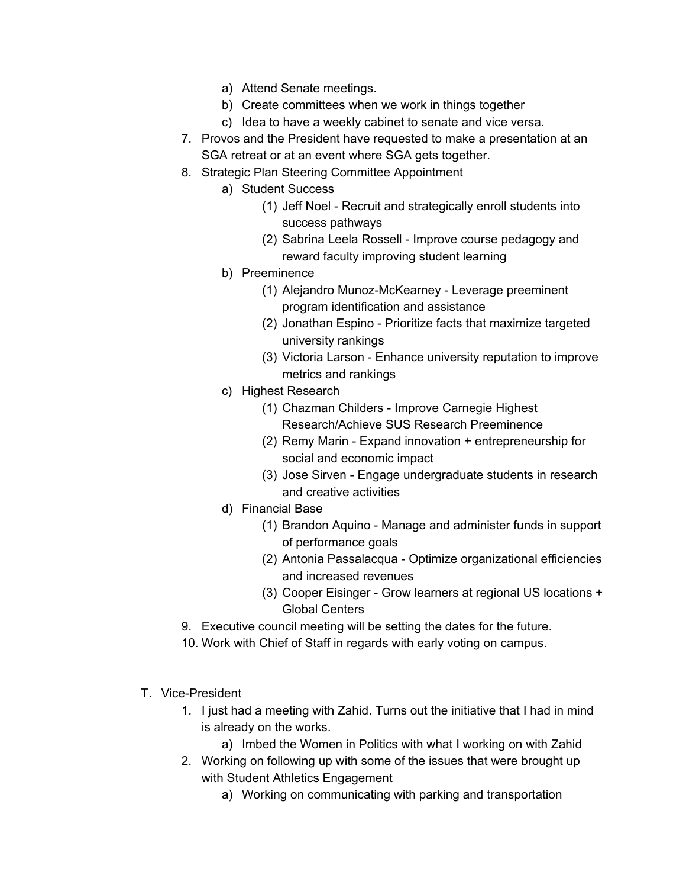- a) Attend Senate meetings.
- b) Create committees when we work in things together
- c) Idea to have a weekly cabinet to senate and vice versa.
- 7. Provos and the President have requested to make a presentation at an SGA retreat or at an event where SGA gets together.
- 8. Strategic Plan Steering Committee Appointment
	- a) Student Success
		- (1) Jeff Noel Recruit and strategically enroll students into success pathways
		- (2) Sabrina Leela Rossell Improve course pedagogy and reward faculty improving student learning
	- b) Preeminence
		- (1) Alejandro Munoz-McKearney Leverage preeminent program identification and assistance
		- (2) Jonathan Espino Prioritize facts that maximize targeted university rankings
		- (3) Victoria Larson Enhance university reputation to improve metrics and rankings
	- c) Highest Research
		- (1) Chazman Childers Improve Carnegie Highest Research/Achieve SUS Research Preeminence
		- (2) Remy Marin Expand innovation + entrepreneurship for social and economic impact
		- (3) Jose Sirven Engage undergraduate students in research and creative activities
	- d) Financial Base
		- (1) Brandon Aquino Manage and administer funds in support of performance goals
		- (2) Antonia Passalacqua Optimize organizational efficiencies and increased revenues
		- (3) Cooper Eisinger Grow learners at regional US locations + Global Centers
- 9. Executive council meeting will be setting the dates for the future.
- 10. Work with Chief of Staff in regards with early voting on campus.
- T. Vice-President
	- 1. I just had a meeting with Zahid. Turns out the initiative that I had in mind is already on the works.
		- a) Imbed the Women in Politics with what I working on with Zahid
	- 2. Working on following up with some of the issues that were brought up with Student Athletics Engagement
		- a) Working on communicating with parking and transportation